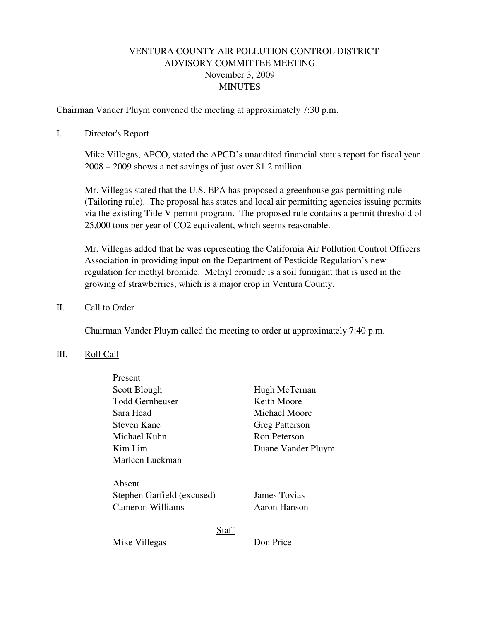# VENTURA COUNTY AIR POLLUTION CONTROL DISTRICT ADVISORY COMMITTEE MEETING November 3, 2009 **MINUTES**

Chairman Vander Pluym convened the meeting at approximately 7:30 p.m.

### I. Director's Report

Mike Villegas, APCO, stated the APCD's unaudited financial status report for fiscal year 2008 – 2009 shows a net savings of just over \$1.2 million.

Mr. Villegas stated that the U.S. EPA has proposed a greenhouse gas permitting rule (Tailoring rule). The proposal has states and local air permitting agencies issuing permits via the existing Title V permit program. The proposed rule contains a permit threshold of 25,000 tons per year of CO2 equivalent, which seems reasonable.

Mr. Villegas added that he was representing the California Air Pollution Control Officers Association in providing input on the Department of Pesticide Regulation's new regulation for methyl bromide. Methyl bromide is a soil fumigant that is used in the growing of strawberries, which is a major crop in Ventura County.

### II. Call to Order

Chairman Vander Pluym called the meeting to order at approximately 7:40 p.m.

#### III. Roll Call

| Present                    |                       |
|----------------------------|-----------------------|
| Scott Blough               | Hugh McTernan         |
| Todd Gernheuser            | Keith Moore           |
| Sara Head                  | Michael Moore         |
| Steven Kane                | <b>Greg Patterson</b> |
| Michael Kuhn               | Ron Peterson          |
| Kim Lim                    | Duane Vander Pluym    |
| Marleen Luckman            |                       |
|                            |                       |
| Absent                     |                       |
| Stephen Garfield (excused) | James Tovias          |
| <b>Cameron Williams</b>    | Aaron Hanson          |
|                            |                       |
| <b>Staff</b>               |                       |
| Mike Villegas              | Don Price             |
|                            |                       |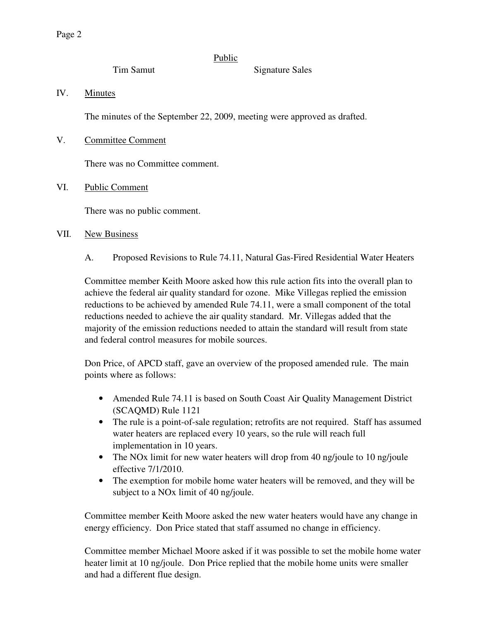# Public

Tim Samut Signature Sales

IV. Minutes

The minutes of the September 22, 2009, meeting were approved as drafted.

V. Committee Comment

There was no Committee comment.

VI. Public Comment

There was no public comment.

# VII. New Business

A. Proposed Revisions to Rule 74.11, Natural Gas-Fired Residential Water Heaters

Committee member Keith Moore asked how this rule action fits into the overall plan to achieve the federal air quality standard for ozone. Mike Villegas replied the emission reductions to be achieved by amended Rule 74.11, were a small component of the total reductions needed to achieve the air quality standard. Mr. Villegas added that the majority of the emission reductions needed to attain the standard will result from state and federal control measures for mobile sources.

Don Price, of APCD staff, gave an overview of the proposed amended rule. The main points where as follows:

- Amended Rule 74.11 is based on South Coast Air Quality Management District (SCAQMD) Rule 1121
- The rule is a point-of-sale regulation; retrofits are not required. Staff has assumed water heaters are replaced every 10 years, so the rule will reach full implementation in 10 years.
- The NOx limit for new water heaters will drop from 40 ng/joule to 10 ng/joule effective 7/1/2010.
- The exemption for mobile home water heaters will be removed, and they will be subject to a NOx limit of 40 ng/joule.

Committee member Keith Moore asked the new water heaters would have any change in energy efficiency. Don Price stated that staff assumed no change in efficiency.

Committee member Michael Moore asked if it was possible to set the mobile home water heater limit at 10 ng/joule. Don Price replied that the mobile home units were smaller and had a different flue design.